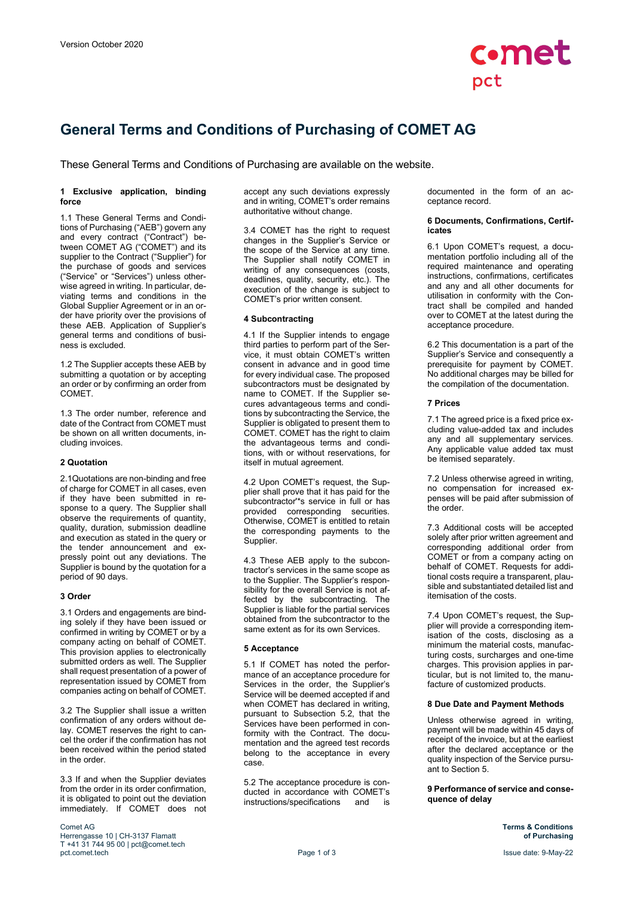## **comet** pct

### **General Terms and Conditions of Purchasing of COMET AG**

These General Terms and Conditions of Purchasing are available on the website.

#### **1 Exclusive application, binding force**

1.1 These General Terms and Conditions of Purchasing ("AEB") govern any and every contract ("Contract") between COMET AG ("COMET") and its supplier to the Contract ("Supplier") for the purchase of goods and services ("Service" or "Services") unless otherwise agreed in writing. In particular, deviating terms and conditions in the Global Supplier Agreement or in an order have priority over the provisions of these AEB. Application of Supplier's general terms and conditions of business is excluded.

1.2 The Supplier accepts these AEB by submitting a quotation or by accepting an order or by confirming an order from **COMET** 

1.3 The order number, reference and date of the Contract from COMET must be shown on all written documents, including invoices.

#### **2 Quotation**

2.1Quotations are non-binding and free of charge for COMET in all cases, even if they have been submitted in response to a query. The Supplier shall observe the requirements of quantity, quality, duration, submission deadline and execution as stated in the query or the tender announcement and expressly point out any deviations. The Supplier is bound by the quotation for a period of 90 days.

#### **3 Order**

3.1 Orders and engagements are binding solely if they have been issued or confirmed in writing by COMET or by a company acting on behalf of COMET. This provision applies to electronically submitted orders as well. The Supplier shall request presentation of a power of representation issued by COMET from companies acting on behalf of COMET.

3.2 The Supplier shall issue a written confirmation of any orders without delay. COMET reserves the right to cancel the order if the confirmation has not been received within the period stated in the order.

3.3 If and when the Supplier deviates from the order in its order confirmation, it is obligated to point out the deviation immediately. If COMET does not

Herrengasse 10 | CH-3137 Flamatt T +41 31 744 95 00 | pct@comet.tech pct.comet.tech is the community of the Page 1 of 3 Issue date: 9-May-22

accept any such deviations expressly and in writing, COMET's order remains authoritative without change.

3.4 COMET has the right to request changes in the Supplier's Service or the scope of the Service at any time. The Supplier shall notify COMET in writing of any consequences (costs, deadlines, quality, security, etc.). The execution of the change is subject to COMET's prior written consent.

#### **4 Subcontracting**

4.1 If the Supplier intends to engage third parties to perform part of the Service, it must obtain COMET's written consent in advance and in good time for every individual case. The proposed subcontractors must be designated by name to COMET. If the Supplier secures advantageous terms and conditions by subcontracting the Service, the Supplier is obligated to present them to COMET. COMET has the right to claim the advantageous terms and conditions, with or without reservations, for itself in mutual agreement.

4.2 Upon COMET's request, the Supplier shall prove that it has paid for the subcontractor'\*s service in full or has provided corresponding securities. Otherwise, COMET is entitled to retain the corresponding payments to the Supplier.

4.3 These AEB apply to the subcontractor's services in the same scope as to the Supplier. The Supplier's responsibility for the overall Service is not affected by the subcontracting. The Supplier is liable for the partial services obtained from the subcontractor to the same extent as for its own Services.

#### **5 Acceptance**

5.1 If COMET has noted the performance of an acceptance procedure for Services in the order, the Supplier's Service will be deemed accepted if and when COMET has declared in writing, pursuant to Subsection 5.2, that the Services have been performed in conformity with the Contract. The documentation and the agreed test records belong to the acceptance in every case.

5.2 The acceptance procedure is conducted in accordance with COMET's<br>instructions/specifications and is instructions/specifications and is documented in the form of an acceptance record.

#### **6 Documents, Confirmations, Certificates**

6.1 Upon COMET's request, a documentation portfolio including all of the required maintenance and operating instructions, confirmations, certificates and any and all other documents for utilisation in conformity with the Contract shall be compiled and handed over to COMET at the latest during the acceptance procedure.

6.2 This documentation is a part of the Supplier's Service and consequently a prerequisite for payment by COMET. No additional charges may be billed for the compilation of the documentation.

#### **7 Prices**

7.1 The agreed price is a fixed price excluding value-added tax and includes any and all supplementary services. Any applicable value added tax must be itemised separately.

7.2 Unless otherwise agreed in writing, no compensation for increased expenses will be paid after submission of the order.

7.3 Additional costs will be accepted solely after prior written agreement and corresponding additional order from COMET or from a company acting on behalf of COMET. Requests for additional costs require a transparent, plausible and substantiated detailed list and itemisation of the costs.

7.4 Upon COMET's request, the Supplier will provide a corresponding itemisation of the costs, disclosing as a minimum the material costs, manufacturing costs, surcharges and one-time charges. This provision applies in particular, but is not limited to, the manufacture of customized products.

#### **8 Due Date and Payment Methods**

Unless otherwise agreed in writing, payment will be made within 45 days of receipt of the invoice, but at the earliest after the declared acceptance or the quality inspection of the Service pursuant to Section 5.

#### **9 Performance of service and consequence of delay**

Comet AG **Terms & Conditions**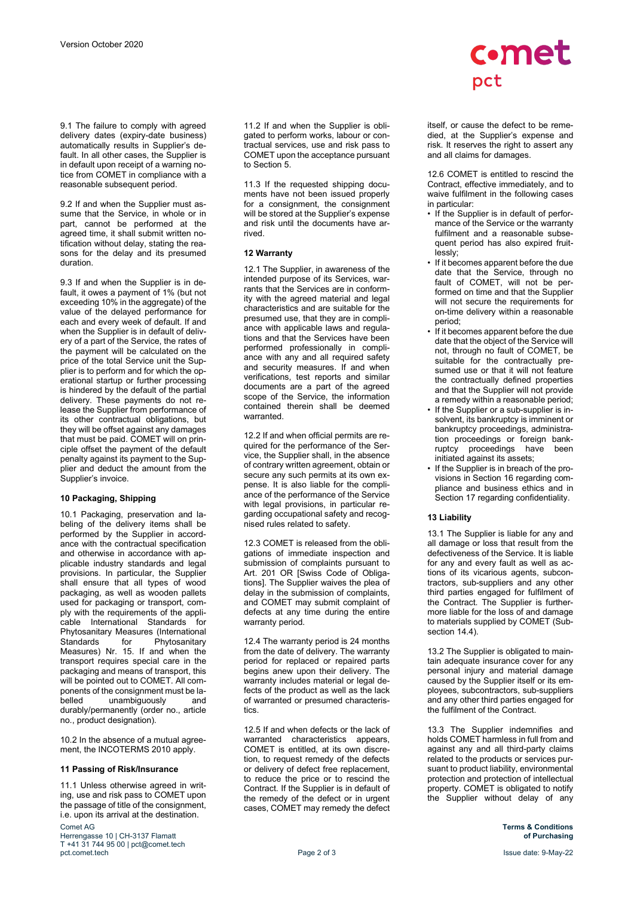9.1 The failure to comply with agreed delivery dates (expiry-date business) automatically results in Supplier's default. In all other cases, the Supplier is in default upon receipt of a warning notice from COMET in compliance with a reasonable subsequent period.

9.2 If and when the Supplier must assume that the Service, in whole or in part, cannot be performed at the agreed time, it shall submit written notification without delay, stating the reasons for the delay and its presumed duration.

9.3 If and when the Supplier is in default, it owes a payment of 1% (but not exceeding 10% in the aggregate) of the value of the delayed performance for each and every week of default. If and when the Supplier is in default of delivery of a part of the Service, the rates of the payment will be calculated on the price of the total Service unit the Supplier is to perform and for which the operational startup or further processing is hindered by the default of the partial delivery. These payments do not release the Supplier from performance of its other contractual obligations, but they will be offset against any damages that must be paid. COMET will on principle offset the payment of the default penalty against its payment to the Supplier and deduct the amount from the Supplier's invoice.

#### **10 Packaging, Shipping**

10.1 Packaging, preservation and labeling of the delivery items shall be performed by the Supplier in accordance with the contractual specification and otherwise in accordance with applicable industry standards and legal provisions. In particular, the Supplier shall ensure that all types of wood packaging, as well as wooden pallets used for packaging or transport, comply with the requirements of the applicable International Standards for Phytosanitary Measures (International Standards for Phytosanitary Measures) Nr. 15. If and when the transport requires special care in the packaging and means of transport, this will be pointed out to COMET. All components of the consignment must be la-<br>belled unambiquously and unambiguously and durably/permanently (order no., article no., product designation).

10.2 In the absence of a mutual agreement, the INCOTERMS 2010 apply.

#### **11 Passing of Risk/Insurance**

11.1 Unless otherwise agreed in writing, use and risk pass to COMET upon the passage of title of the consignment, i.e. upon its arrival at the destination.

Comet AG **Terms & Conditions** Herrengasse 10 | CH-3137 Flamatt T +41 31 744 95 00 | pct@comet.tech<br>pct.comet.tech

11.2 If and when the Supplier is obligated to perform works, labour or contractual services, use and risk pass to COMET upon the acceptance pursuant to Section 5.

11.3 If the requested shipping documents have not been issued properly for a consignment, the consignment will be stored at the Supplier's expense and risk until the documents have arrived.

#### **12 Warranty**

12.1 The Supplier, in awareness of the intended purpose of its Services, warrants that the Services are in conformity with the agreed material and legal characteristics and are suitable for the presumed use, that they are in compliance with applicable laws and regulations and that the Services have been performed professionally in compliance with any and all required safety and security measures. If and when verifications, test reports and similar documents are a part of the agreed scope of the Service, the information contained therein shall be deemed warranted.

12.2 If and when official permits are required for the performance of the Service, the Supplier shall, in the absence of contrary written agreement, obtain or secure any such permits at its own expense. It is also liable for the compliance of the performance of the Service with legal provisions, in particular regarding occupational safety and recognised rules related to safety.

12.3 COMET is released from the obligations of immediate inspection and submission of complaints pursuant to Art. 201 OR [Swiss Code of Obligations]. The Supplier waives the plea of delay in the submission of complaints, and COMET may submit complaint of defects at any time during the entire warranty period.

12.4 The warranty period is 24 months from the date of delivery. The warranty period for replaced or repaired parts begins anew upon their delivery. The warranty includes material or legal defects of the product as well as the lack of warranted or presumed characteristics.

12.5 If and when defects or the lack of warranted characteristics appears, COMET is entitled, at its own discretion, to request remedy of the defects or delivery of defect free replacement, to reduce the price or to rescind the Contract. If the Supplier is in default of the remedy of the defect or in urgent cases, COMET may remedy the defect

# **comet** pct

itself, or cause the defect to be remedied, at the Supplier's expense and risk. It reserves the right to assert any and all claims for damages.

12.6 COMET is entitled to rescind the Contract, effective immediately, and to waive fulfilment in the following cases in particular:

- If the Supplier is in default of performance of the Service or the warranty fulfilment and a reasonable subsequent period has also expired fruitlessly;
- If it becomes apparent before the due date that the Service, through no fault of COMET, will not be performed on time and that the Supplier will not secure the requirements for on-time delivery within a reasonable period;
- If it becomes apparent before the due date that the object of the Service will not, through no fault of COMET, be suitable for the contractually presumed use or that it will not feature the contractually defined properties and that the Supplier will not provide a remedy within a reasonable period;
- If the Supplier or a sub-supplier is insolvent, its bankruptcy is imminent or bankruptcy proceedings, administration proceedings or foreign bankruptcy proceedings have been initiated against its assets;
- If the Supplier is in breach of the provisions in Section 16 regarding compliance and business ethics and in Section 17 regarding confidentiality.

#### **13 Liability**

13.1 The Supplier is liable for any and all damage or loss that result from the defectiveness of the Service. It is liable for any and every fault as well as actions of its vicarious agents, subcontractors, sub-suppliers and any other third parties engaged for fulfilment of the Contract. The Supplier is furthermore liable for the loss of and damage to materials supplied by COMET (Subsection 14.4).

13.2 The Supplier is obligated to maintain adequate insurance cover for any personal injury and material damage caused by the Supplier itself or its employees, subcontractors, sub-suppliers and any other third parties engaged for the fulfilment of the Contract.

13.3 The Supplier indemnifies and holds COMET harmless in full from and against any and all third-party claims related to the products or services pursuant to product liability, environmental protection and protection of intellectual property. COMET is obligated to notify the Supplier without delay of any